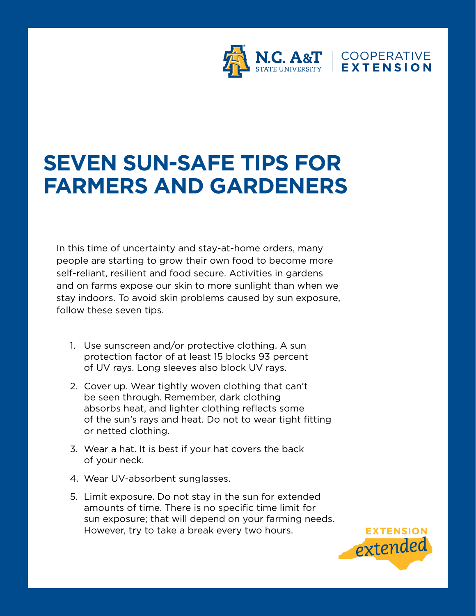

## **SEVEN SUN-SAFE TIPS FOR FARMERS AND GARDENERS**

In this time of uncertainty and stay-at-home orders, many people are starting to grow their own food to become more self-reliant, resilient and food secure. Activities in gardens and on farms expose our skin to more sunlight than when we stay indoors. To avoid skin problems caused by sun exposure, follow these seven tips.

- 1. Use sunscreen and/or protective clothing. A sun protection factor of at least 15 blocks 93 percent of UV rays. Long sleeves also block UV rays.
- 2. Cover up. Wear tightly woven clothing that can't be seen through. Remember, dark clothing absorbs heat, and lighter clothing reflects some of the sun's rays and heat. Do not to wear tight fitting or netted clothing.
- 3. Wear a hat. It is best if your hat covers the back of your neck.
- 4. Wear UV-absorbent sunglasses.
- 5. Limit exposure. Do not stay in the sun for extended amounts of time. There is no specific time limit for sun exposure; that will depend on your farming needs. However, try to take a break every two hours.